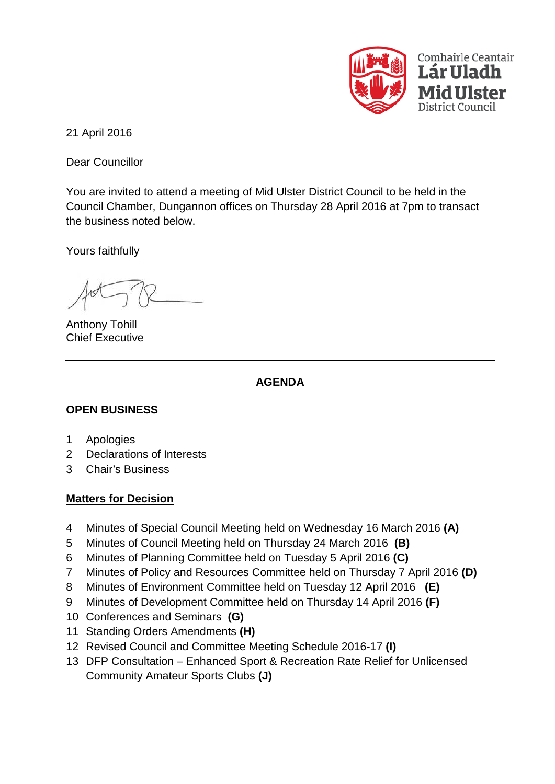

21 April 2016

Dear Councillor

You are invited to attend a meeting of Mid Ulster District Council to be held in the Council Chamber, Dungannon offices on Thursday 28 April 2016 at 7pm to transact the business noted below.

Yours faithfully

Anthony Tohill Chief Executive

# **AGENDA**

# **OPEN BUSINESS**

- 1 Apologies
- 2 Declarations of Interests
- 3 Chair's Business

### **Matters for Decision**

- 4 Minutes of Special Council Meeting held on Wednesday 16 March 2016 **(A)**
- 5 Minutes of Council Meeting held on Thursday 24 March 2016 **(B)**
- 6 Minutes of Planning Committee held on Tuesday 5 April 2016 **(C)**
- 7 Minutes of Policy and Resources Committee held on Thursday 7 April 2016 **(D)**
- 8 Minutes of Environment Committee held on Tuesday 12 April 2016 **(E)**
- 9 Minutes of Development Committee held on Thursday 14 April 2016 **(F)**
- 10 Conferences and Seminars **(G)**
- 11 Standing Orders Amendments **(H)**
- 12 Revised Council and Committee Meeting Schedule 2016-17 **(I)**
- 13 DFP Consultation Enhanced Sport & Recreation Rate Relief for Unlicensed Community Amateur Sports Clubs **(J)**